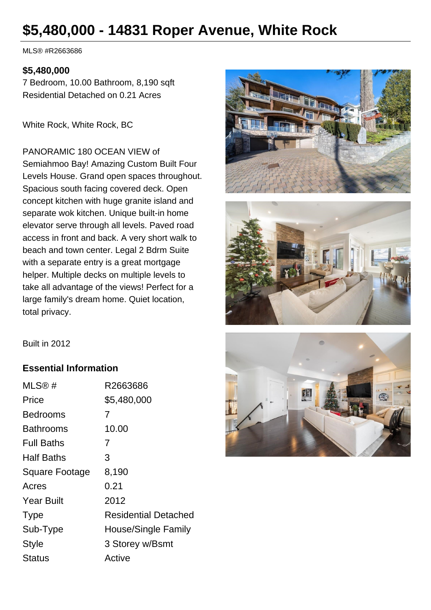# **\$5,480,000 - 14831 Roper Avenue, White Rock**

MLS® #R2663686

#### **\$5,480,000**

7 Bedroom, 10.00 Bathroom, 8,190 sqft Residential Detached on 0.21 Acres

White Rock, White Rock, BC

PANORAMIC 180 OCEAN VIEW of Semiahmoo Bay! Amazing Custom Built Four Levels House. Grand open spaces throughout. Spacious south facing covered deck. Open concept kitchen with huge granite island and separate wok kitchen. Unique built-in home elevator serve through all levels. Paved road access in front and back. A very short walk to beach and town center. Legal 2 Bdrm Suite with a separate entry is a great mortgage helper. Multiple decks on multiple levels to take all advantage of the views! Perfect for a large family's dream home. Quiet location, total privacy.





Built in 2012

#### **Essential Information**

| MLS@#                 | R2663686                    |
|-----------------------|-----------------------------|
| Price                 | \$5,480,000                 |
| Bedrooms              | 7                           |
| Bathrooms             | 10.00                       |
| <b>Full Baths</b>     | 7                           |
| <b>Half Baths</b>     | 3                           |
| <b>Square Footage</b> | 8,190                       |
| Acres                 | 0.21                        |
| <b>Year Built</b>     | 2012                        |
| <b>Type</b>           | <b>Residential Detached</b> |
| Sub-Type              | House/Single Family         |
| <b>Style</b>          | 3 Storey w/Bsmt             |
| <b>Status</b>         | Active                      |
|                       |                             |